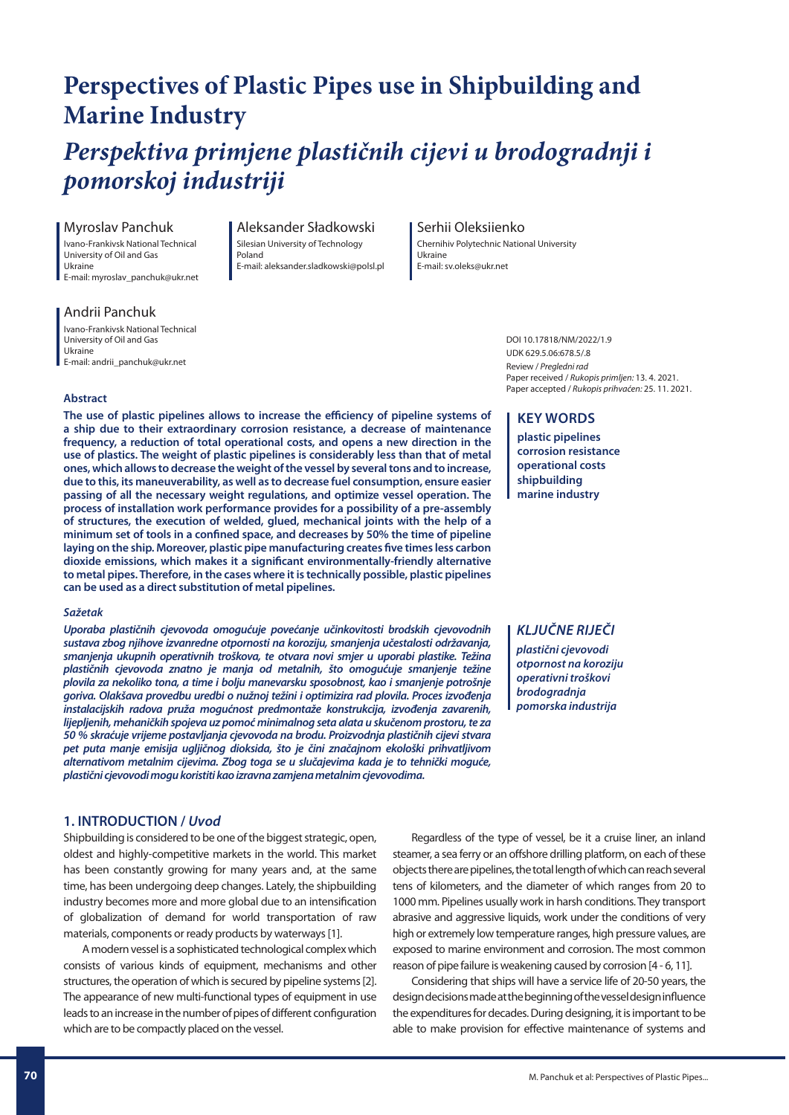## **Perspectives of Plastic Pipes use in Shipbuilding and Marine Industry**

# *Perspektiva primjene plastičnih cijevi u brodogradnji i pomorskoj industriji*

## Myroslav Panchuk

Ivano-Frankivsk National Technical University of Oil and Gas Ukraine E-mail: myroslav\_panchuk@ukr.net

#### Andrii Panchuk Ivano-Frankivsk National Technical

University of Oil and Gas Ukraine E-mail: andrii\_panchuk@ukr.net

#### Aleksander Sładkowski Silesian University of Technology Poland E-mail: aleksander.sladkowski@polsl.pl

## Serhii Oleksiienko

Chernihiv Polytechnic National University Ukraine E-mail: sv.oleks@ukr.net

> DOI 10.17818/NM/2022/1.9 UDK 629.5.06:678.5/.8 Review / Pregledni rad Paper received / Rukopis primljen: 13. 4. 2021. Paper accepted / Rukopis prihvaćen: 25. 11. 2021.

## **Abstract**

The use of plastic pipelines allows to increase the efficiency of pipeline systems of **a ship due to their extraordinary corrosion resistance, a decrease of maintenance frequency, a reduction of total operational costs, and opens a new direction in the use of plastics. The weight of plastic pipelines is considerably less than that of metal ones, which allows to decrease the weight of the vessel by several tons and to increase, due to this, its maneuverability, as well as to decrease fuel consumption, ensure easier passing of all the necessary weight regulations, and optimize vessel operation. The process of installation work performance provides for a possibility of a pre-assembly of structures, the execution of welded, glued, mechanical joints with the help of a**  minimum set of tools in a confined space, and decreases by 50% the time of pipeline laying on the ship. Moreover, plastic pipe manufacturing creates five times less carbon dioxide emissions, which makes it a significant environmentally-friendly alternative **to metal pipes. Therefore, in the cases where it is technically possible, plastic pipelines can be used as a direct substitution of metal pipelines.**

## *Sažetak*

*Uporaba plastičnih cjevovoda omogućuje povećanje učinkovitosti brodskih cjevovodnih sustava zbog njihove izvanredne otpornosti na koroziju, smanjenja učestalosti održavanja, smanjenja ukupnih operativnih troškova, te otvara novi smjer u uporabi plastike. Težina plastičnih cjevovoda znatno je manja od metalnih, što omogućuje smanjenje težine plovila za nekoliko tona, a time i bolju manevarsku sposobnost, kao i smanjenje potrošnje goriva. Olakšava provedbu uredbi o nužnoj težini i optimizira rad plovila. Proces izvođenja instalacijskih radova pruža mogućnost predmontaže konstrukcija, izvođenja zavarenih, lijepljenih, mehaničkih spojeva uz pomoć minimalnog seta alata u skučenom prostoru, te za 50 % skraćuje vrijeme postavljanja cjevovoda na brodu. Proizvodnja plastičnih cijevi stvara pet puta manje emisija ugljičnog dioksida, što je čini značajnom ekološki prihvatljivom alternativom metalnim cijevima. Zbog toga se u slučajevima kada je to tehnički moguće, plastični cjevovodi mogu koristiti kao izravna zamjena metalnim cjevovodima.*

## **1. INTRODUCTION /** *Uvod*

Shipbuilding is considered to be one of the biggest strategic, open, oldest and highly-competitive markets in the world. This market has been constantly growing for many years and, at the same time, has been undergoing deep changes. Lately, the shipbuilding industry becomes more and more global due to an intensification of globalization of demand for world transportation of raw materials, components or ready products by waterways [1].

A modern vessel is a sophisticated technological complex which consists of various kinds of equipment, mechanisms and other structures, the operation of which is secured by pipeline systems [2]. The appearance of new multi-functional types of equipment in use leads to an increase in the number of pipes of different configuration which are to be compactly placed on the vessel.

## **KEY WORDS**

**plastic pipelines corrosion resistance operational costs shipbuilding marine industry**

## *KLJUČNE RIJEČI*

*plastični cjevovodi otpornost na koroziju operativni troškovi brodogradnja pomorska industrija*

Regardless of the type of vessel, be it a cruise liner, an inland steamer, a sea ferry or an offshore drilling platform, on each of these objects there are pipelines, the total length of which can reach several tens of kilometers, and the diameter of which ranges from 20 to 1000 mm. Pipelines usually work in harsh conditions. They transport abrasive and aggressive liquids, work under the conditions of very high or extremely low temperature ranges, high pressure values, are exposed to marine environment and corrosion. The most common reason of pipe failure is weakening caused by corrosion [4 - 6, 11].

Considering that ships will have a service life of 20-50 years, the design decisions made at the beginning of the vessel design influence the expenditures for decades. During designing, it is important to be able to make provision for effective maintenance of systems and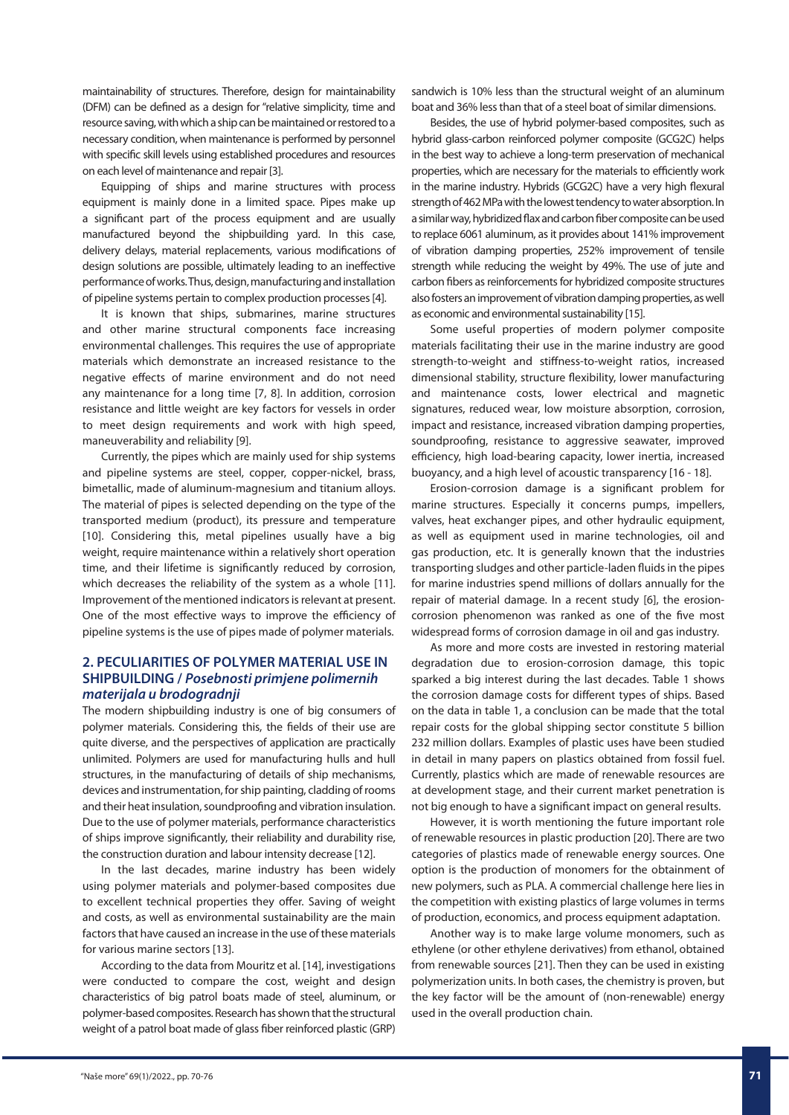maintainability of structures. Therefore, design for maintainability (DFM) can be defined as a design for "relative simplicity, time and resource saving, with which a ship can be maintained or restored to a necessary condition, when maintenance is performed by personnel with specific skill levels using established procedures and resources on each level of maintenance and repair [3].

Equipping of ships and marine structures with process equipment is mainly done in a limited space. Pipes make up a significant part of the process equipment and are usually manufactured beyond the shipbuilding yard. In this case, delivery delays, material replacements, various modifications of design solutions are possible, ultimately leading to an ineffective performance of works. Thus, design, manufacturing and installation of pipeline systems pertain to complex production processes [4].

It is known that ships, submarines, marine structures and other marine structural components face increasing environmental challenges. This requires the use of appropriate materials which demonstrate an increased resistance to the negative effects of marine environment and do not need any maintenance for a long time [7, 8]. In addition, corrosion resistance and little weight are key factors for vessels in order to meet design requirements and work with high speed, maneuverability and reliability [9].

Currently, the pipes which are mainly used for ship systems and pipeline systems are steel, copper, copper-nickel, brass, bimetallic, made of aluminum-magnesium and titanium alloys. The material of pipes is selected depending on the type of the transported medium (product), its pressure and temperature [10]. Considering this, metal pipelines usually have a big weight, require maintenance within a relatively short operation time, and their lifetime is significantly reduced by corrosion, which decreases the reliability of the system as a whole [11]. Improvement of the mentioned indicators is relevant at present. One of the most effective ways to improve the efficiency of pipeline systems is the use of pipes made of polymer materials.

## **2. PECULIARITIES OF POLYMER MATERIAL USE IN SHIPBUILDING /** *Posebnosti primjene polimernih materijala u brodogradnji*

The modern shipbuilding industry is one of big consumers of polymer materials. Considering this, the fields of their use are quite diverse, and the perspectives of application are practically unlimited. Polymers are used for manufacturing hulls and hull structures, in the manufacturing of details of ship mechanisms, devices and instrumentation, for ship painting, cladding of rooms and their heat insulation, soundproofing and vibration insulation. Due to the use of polymer materials, performance characteristics of ships improve significantly, their reliability and durability rise, the construction duration and labour intensity decrease [12].

In the last decades, marine industry has been widely using polymer materials and polymer-based composites due to excellent technical properties they offer. Saving of weight and costs, as well as environmental sustainability are the main factors that have caused an increase in the use of these materials for various marine sectors [13].

According to the data from Mouritz et al. [14], investigations were conducted to compare the cost, weight and design characteristics of big patrol boats made of steel, aluminum, or polymer-based composites. Research has shown that the structural weight of a patrol boat made of glass fiber reinforced plastic (GRP)

sandwich is 10% less than the structural weight of an aluminum boat and 36% less than that of a steel boat of similar dimensions.

Besides, the use of hybrid polymer-based composites, such as hybrid glass-carbon reinforced polymer composite (GCG2C) helps in the best way to achieve a long-term preservation of mechanical properties, which are necessary for the materials to efficiently work in the marine industry. Hybrids (GCG2C) have a very high flexural strength of 462 MPa with the lowest tendency to water absorption. In a similar way, hybridized flax and carbon fiber composite can be used to replace 6061 aluminum, as it provides about 141% improvement of vibration damping properties, 252% improvement of tensile strength while reducing the weight by 49%. The use of jute and carbon fibers as reinforcements for hybridized composite structures also fosters an improvement of vibration damping properties, as well as economic and environmental sustainability [15].

Some useful properties of modern polymer composite materials facilitating their use in the marine industry are good strength-to-weight and stiffness-to-weight ratios, increased dimensional stability, structure flexibility, lower manufacturing and maintenance costs, lower electrical and magnetic signatures, reduced wear, low moisture absorption, corrosion, impact and resistance, increased vibration damping properties, soundproofing, resistance to aggressive seawater, improved efficiency, high load-bearing capacity, lower inertia, increased buoyancy, and a high level of acoustic transparency [16 - 18].

Erosion-corrosion damage is a significant problem for marine structures. Especially it concerns pumps, impellers, valves, heat exchanger pipes, and other hydraulic equipment, as well as equipment used in marine technologies, oil and gas production, etc. It is generally known that the industries transporting sludges and other particle-laden fluids in the pipes for marine industries spend millions of dollars annually for the repair of material damage. In a recent study [6], the erosioncorrosion phenomenon was ranked as one of the five most widespread forms of corrosion damage in oil and gas industry.

As more and more costs are invested in restoring material degradation due to erosion-corrosion damage, this topic sparked a big interest during the last decades. Table 1 shows the corrosion damage costs for different types of ships. Based on the data in table 1, a conclusion can be made that the total repair costs for the global shipping sector constitute 5 billion 232 million dollars. Examples of plastic uses have been studied in detail in many papers on plastics obtained from fossil fuel. Currently, plastics which are made of renewable resources are at development stage, and their current market penetration is not big enough to have a significant impact on general results.

However, it is worth mentioning the future important role of renewable resources in plastic production [20]. There are two categories of plastics made of renewable energy sources. One option is the production of monomers for the obtainment of new polymers, such as PLA. A commercial challenge here lies in the competition with existing plastics of large volumes in terms of production, economics, and process equipment adaptation.

Another way is to make large volume monomers, such as ethylene (or other ethylene derivatives) from ethanol, obtained from renewable sources [21]. Then they can be used in existing polymerization units. In both cases, the chemistry is proven, but the key factor will be the amount of (non-renewable) energy used in the overall production chain.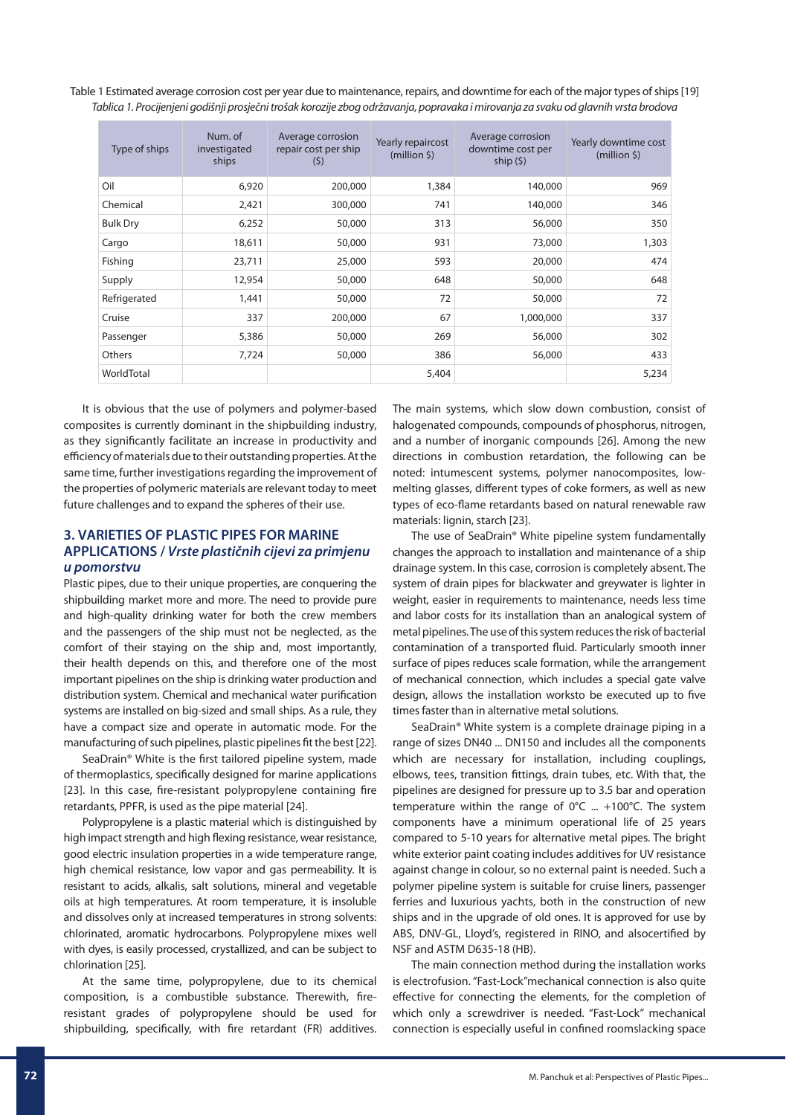Table 1 Estimated average corrosion cost per year due to maintenance, repairs, and downtime for each of the major types of ships [19] Tablica 1. Procijenjeni godišnji prosječni trošak korozije zbog održavanja, popravaka i mirovanja za svaku od glavnih vrsta brodova

| Type of ships   | Num. of<br>investigated<br>ships | Average corrosion<br>repair cost per ship<br>(5) | Yearly repaircost<br>(million <sub>5</sub> ) | Average corrosion<br>downtime cost per<br>ship $(5)$ | Yearly downtime cost<br>(million <sub>5</sub> ) |
|-----------------|----------------------------------|--------------------------------------------------|----------------------------------------------|------------------------------------------------------|-------------------------------------------------|
| Oil             | 6,920                            | 200,000                                          | 1,384                                        | 140,000                                              | 969                                             |
| Chemical        | 2,421                            | 300,000                                          | 741                                          | 140,000                                              | 346                                             |
| <b>Bulk Dry</b> | 6,252                            | 50,000                                           | 313                                          | 56,000                                               | 350                                             |
| Cargo           | 18,611                           | 50,000                                           | 931                                          | 73,000                                               | 1,303                                           |
| Fishing         | 23,711                           | 25,000                                           | 593                                          | 20,000                                               | 474                                             |
| Supply          | 12,954                           | 50,000                                           | 648                                          | 50,000                                               | 648                                             |
| Refrigerated    | 1,441                            | 50,000                                           | 72                                           | 50,000                                               | 72                                              |
| Cruise          | 337                              | 200,000                                          | 67                                           | 1,000,000                                            | 337                                             |
| Passenger       | 5,386                            | 50,000                                           | 269                                          | 56,000                                               | 302                                             |
| Others          | 7,724                            | 50,000                                           | 386                                          | 56,000                                               | 433                                             |
| WorldTotal      |                                  |                                                  | 5,404                                        |                                                      | 5,234                                           |

It is obvious that the use of polymers and polymer-based composites is currently dominant in the shipbuilding industry, as they significantly facilitate an increase in productivity and efficiency of materials due to their outstanding properties. At the same time, further investigations regarding the improvement of the properties of polymeric materials are relevant today to meet future challenges and to expand the spheres of their use.

## **3. VARIETIES OF PLASTIC PIPES FOR MARINE APPLICATIONS /** *Vrste plastičnih cijevi za primjenu u pomorstvu*

Plastic pipes, due to their unique properties, are conquering the shipbuilding market more and more. The need to provide pure and high-quality drinking water for both the crew members and the passengers of the ship must not be neglected, as the comfort of their staying on the ship and, most importantly, their health depends on this, and therefore one of the most important pipelines on the ship is drinking water production and distribution system. Chemical and mechanical water purification systems are installed on big-sized and small ships. As a rule, they have a compact size and operate in automatic mode. For the manufacturing of such pipelines, plastic pipelines fit the best [22].

SeaDrain® White is the first tailored pipeline system, made of thermoplastics, specifically designed for marine applications [23]. In this case, fire-resistant polypropylene containing fire retardants, PPFR, is used as the pipe material [24].

Polypropylene is a plastic material which is distinguished by high impact strength and high flexing resistance, wear resistance, good electric insulation properties in a wide temperature range, high chemical resistance, low vapor and gas permeability. It is resistant to acids, alkalis, salt solutions, mineral and vegetable oils at high temperatures. At room temperature, it is insoluble and dissolves only at increased temperatures in strong solvents: chlorinated, aromatic hydrocarbons. Polypropylene mixes well with dyes, is easily processed, crystallized, and can be subject to chlorination [25].

At the same time, polypropylene, due to its chemical composition, is a combustible substance. Therewith, fireresistant grades of polypropylene should be used for shipbuilding, specifically, with fire retardant (FR) additives. The main systems, which slow down combustion, consist of halogenated compounds, compounds of phosphorus, nitrogen, and a number of inorganic compounds [26]. Among the new directions in combustion retardation, the following can be noted: intumescent systems, polymer nanocomposites, lowmelting glasses, different types of coke formers, as well as new types of eco-flame retardants based on natural renewable raw materials: lignin, starch [23].

The use of SeaDrain® White pipeline system fundamentally changes the approach to installation and maintenance of a ship drainage system. In this case, corrosion is completely absent. The system of drain pipes for blackwater and greywater is lighter in weight, easier in requirements to maintenance, needs less time and labor costs for its installation than an analogical system of metal pipelines. The use of this system reduces the risk of bacterial contamination of a transported fluid. Particularly smooth inner surface of pipes reduces scale formation, while the arrangement of mechanical connection, which includes a special gate valve design, allows the installation worksto be executed up to five times faster than in alternative metal solutions.

SeaDrain® White system is a complete drainage piping in a range of sizes DN40 ... DN150 and includes all the components which are necessary for installation, including couplings, elbows, tees, transition fittings, drain tubes, etc. With that, the pipelines are designed for pressure up to 3.5 bar and operation temperature within the range of  $0^{\circ}$ C ... +100°C. The system components have a minimum operational life of 25 years compared to 5-10 years for alternative metal pipes. The bright white exterior paint coating includes additives for UV resistance against change in colour, so no external paint is needed. Such a polymer pipeline system is suitable for cruise liners, passenger ferries and luxurious yachts, both in the construction of new ships and in the upgrade of old ones. It is approved for use by ABS, DNV-GL, Lloyd's, registered in RINO, and alsocertified by NSF and ASTM D635-18 (HB).

The main connection method during the installation works is electrofusion. "Fast-Lock"mechanical connection is also quite effective for connecting the elements, for the completion of which only a screwdriver is needed. "Fast-Lock" mechanical connection is especially useful in confined roomslacking space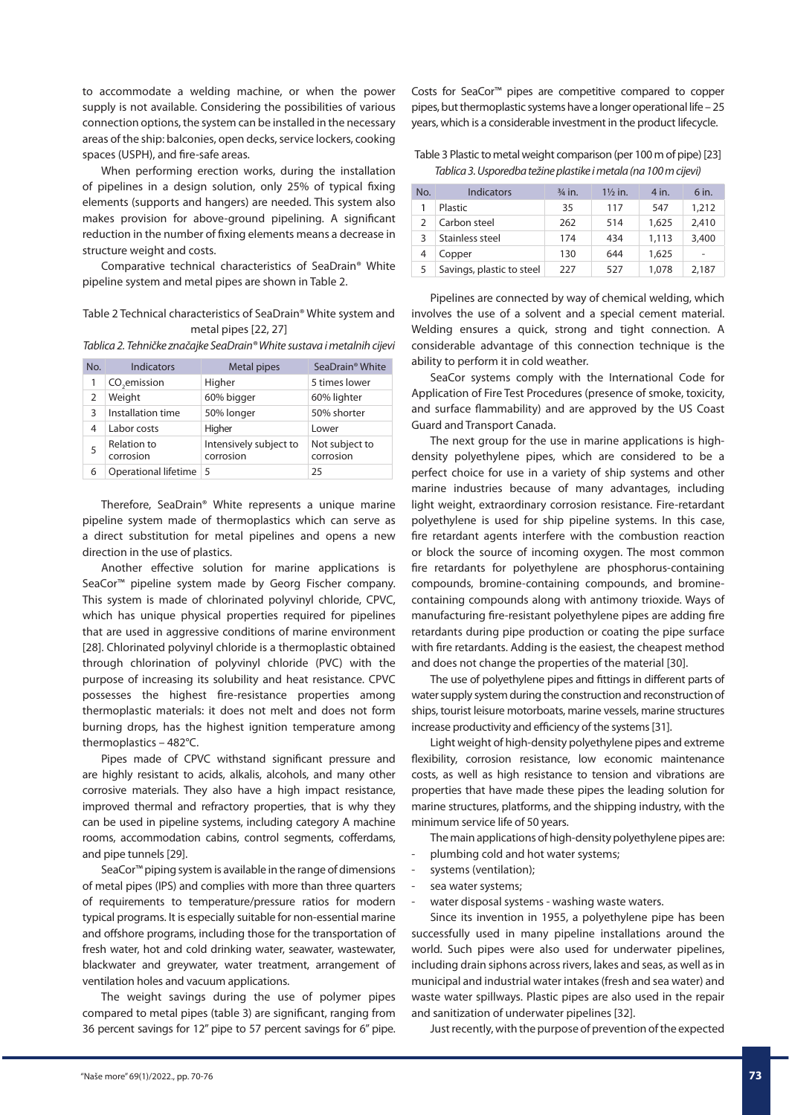to accommodate a welding machine, or when the power supply is not available. Considering the possibilities of various connection options, the system can be installed in the necessary areas of the ship: balconies, open decks, service lockers, cooking spaces (USPH), and fire-safe areas.

When performing erection works, during the installation of pipelines in a design solution, only 25% of typical fixing elements (supports and hangers) are needed. This system also makes provision for above-ground pipelining. A significant reduction in the number of fixing elements means a decrease in structure weight and costs.

Comparative technical characteristics of SeaDrain® White pipeline system and metal pipes are shown in Table 2.

### Table 2 Technical characteristics of SeaDrain® White system and metal pipes [22, 27]

Tablica 2. Tehničke značajke SeaDrain® White sustava i metalnih cijevi

| No. | <b>Indicators</b>               | Metal pipes                         | SeaDrain <sup>®</sup> White |
|-----|---------------------------------|-------------------------------------|-----------------------------|
| 1   | CO <sub>2</sub> emission        | Higher                              | 5 times lower               |
| 2   | Weight                          | 60% bigger                          | 60% lighter                 |
| 3   | Installation time               | 50% longer                          | 50% shorter                 |
| 4   | Labor costs                     | Higher                              | Lower                       |
| 5   | <b>Relation to</b><br>corrosion | Intensively subject to<br>corrosion | Not subject to<br>corrosion |
| 6   | Operational lifetime 5          |                                     | 25                          |

Therefore, SeaDrain® White represents a unique marine pipeline system made of thermoplastics which can serve as a direct substitution for metal pipelines and opens a new direction in the use of plastics.

Another effective solution for marine applications is SeaCor™ pipeline system made by Georg Fischer company. This system is made of chlorinated polyvinyl chloride, CPVC, which has unique physical properties required for pipelines that are used in aggressive conditions of marine environment [28]. Chlorinated polyvinyl chloride is a thermoplastic obtained through chlorination of polyvinyl chloride (PVC) with the purpose of increasing its solubility and heat resistance. CPVC possesses the highest fire-resistance properties among thermoplastic materials: it does not melt and does not form burning drops, has the highest ignition temperature among thermoplastics – 482°C.

Pipes made of CPVC withstand significant pressure and are highly resistant to acids, alkalis, alcohols, and many other corrosive materials. They also have a high impact resistance, improved thermal and refractory properties, that is why they can be used in pipeline systems, including category A machine rooms, accommodation cabins, control segments, cofferdams, and pipe tunnels [29].

SeaCor™ piping system is available in the range of dimensions of metal pipes (IPS) and complies with more than three quarters of requirements to temperature/pressure ratios for modern typical programs. It is especially suitable for non-essential marine and offshore programs, including those for the transportation of fresh water, hot and cold drinking water, seawater, wastewater, blackwater and greywater, water treatment, arrangement of ventilation holes and vacuum applications.

The weight savings during the use of polymer pipes compared to metal pipes (table 3) are significant, ranging from 36 percent savings for 12" pipe to 57 percent savings for 6" pipe.

Costs for SeaCor™ pipes are competitive compared to copper pipes, but thermoplastic systems have a longer operational life – 25 years, which is a considerable investment in the product lifecycle.

Table 3 Plastic to metal weight comparison (per 100 m of pipe) [23] Tablica 3. Usporedba težine plastike i metala (na 100 m cijevi)

| No. | Indicators                | $\frac{3}{4}$ in. | $1\frac{1}{2}$ in. | 4 in. | 6 in.          |
|-----|---------------------------|-------------------|--------------------|-------|----------------|
|     | Plastic                   | 35                | 117                | 547   | 1,212          |
|     | Carbon steel              | 262               | 514                | 1,625 | 2,410          |
| ς   | Stainless steel           | 174               | 434                | 1,113 | 3,400          |
|     | Copper                    | 130               | 644                | 1,625 | $\overline{a}$ |
|     | Savings, plastic to steel | 227               | 527                | 1,078 | 2,187          |

Pipelines are connected by way of chemical welding, which involves the use of a solvent and a special cement material. Welding ensures a quick, strong and tight connection. A considerable advantage of this connection technique is the ability to perform it in cold weather.

SeaCor systems comply with the International Code for Application of Fire Test Procedures (presence of smoke, toxicity, and surface flammability) and are approved by the US Coast Guard and Transport Canada.

The next group for the use in marine applications is highdensity polyethylene pipes, which are considered to be a perfect choice for use in a variety of ship systems and other marine industries because of many advantages, including light weight, extraordinary corrosion resistance. Fire-retardant polyethylene is used for ship pipeline systems. In this case, fire retardant agents interfere with the combustion reaction or block the source of incoming oxygen. The most common fire retardants for polyethylene are phosphorus-containing compounds, bromine-containing compounds, and brominecontaining compounds along with antimony trioxide. Ways of manufacturing fire-resistant polyethylene pipes are adding fire retardants during pipe production or coating the pipe surface with fire retardants. Adding is the easiest, the cheapest method and does not change the properties of the material [30].

The use of polyethylene pipes and fittings in different parts of water supply system during the construction and reconstruction of ships, tourist leisure motorboats, marine vessels, marine structures increase productivity and efficiency of the systems [31].

Light weight of high-density polyethylene pipes and extreme flexibility, corrosion resistance, low economic maintenance costs, as well as high resistance to tension and vibrations are properties that have made these pipes the leading solution for marine structures, platforms, and the shipping industry, with the minimum service life of 50 years.

The main applications of high-density polyethylene pipes are:

- plumbing cold and hot water systems;
- systems (ventilation);
- sea water systems;
- water disposal systems washing waste waters.

Since its invention in 1955, a polyethylene pipe has been successfully used in many pipeline installations around the world. Such pipes were also used for underwater pipelines, including drain siphons across rivers, lakes and seas, as well as in municipal and industrial water intakes (fresh and sea water) and waste water spillways. Plastic pipes are also used in the repair and sanitization of underwater pipelines [32].

Just recently, with the purpose of prevention of the expected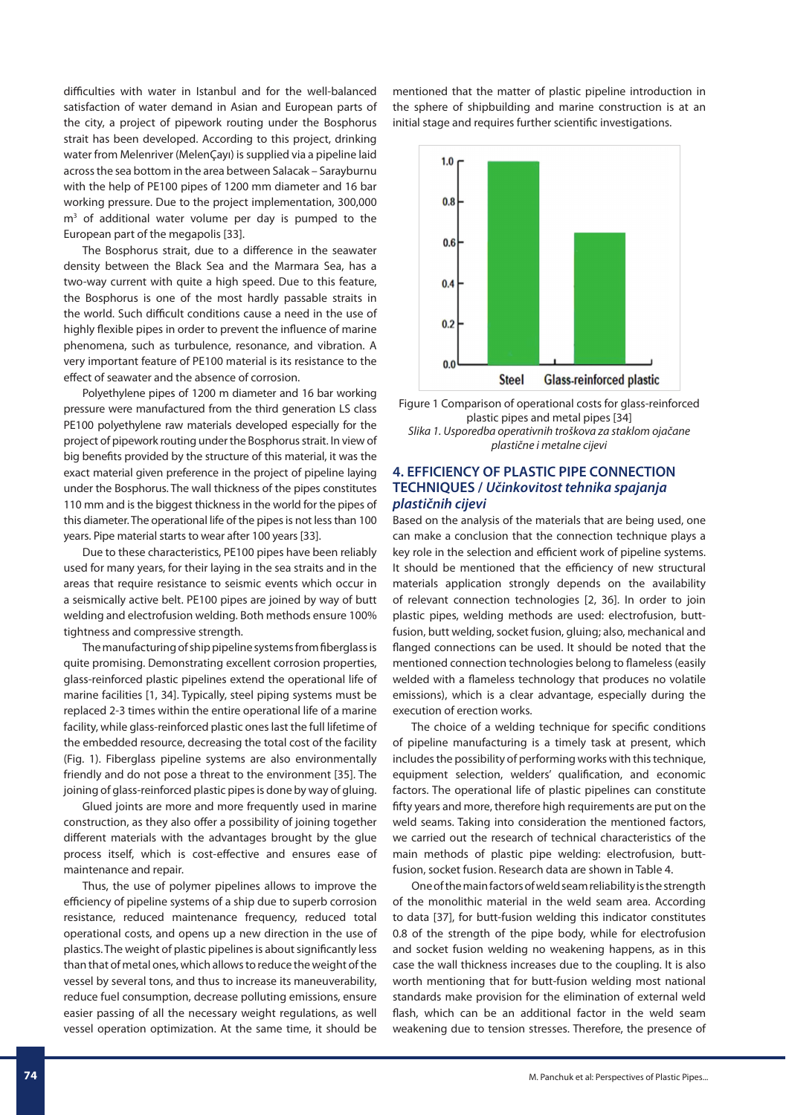difficulties with water in Istanbul and for the well-balanced satisfaction of water demand in Asian and European parts of the city, a project of pipework routing under the Bosphorus strait has been developed. According to this project, drinking water from Melenriver (MelenÇayı) is supplied via a pipeline laid across the sea bottom in the area between Salacak – Sarayburnu with the help of PE100 pipes of 1200 mm diameter and 16 bar working pressure. Due to the project implementation, 300,000 m<sup>3</sup> of additional water volume per day is pumped to the European part of the megapolis [33].

The Bosphorus strait, due to a difference in the seawater density between the Black Sea and the Marmara Sea, has a two-way current with quite a high speed. Due to this feature, the Bosphorus is one of the most hardly passable straits in the world. Such difficult conditions cause a need in the use of highly flexible pipes in order to prevent the influence of marine phenomena, such as turbulence, resonance, and vibration. A very important feature of PE100 material is its resistance to the effect of seawater and the absence of corrosion.

Polyethylene pipes of 1200 m diameter and 16 bar working pressure were manufactured from the third generation LS class PE100 polyethylene raw materials developed especially for the project of pipework routing under the Bosphorus strait. In view of big benefits provided by the structure of this material, it was the exact material given preference in the project of pipeline laying under the Bosphorus. The wall thickness of the pipes constitutes 110 mm and is the biggest thickness in the world for the pipes of this diameter. The operational life of the pipes is not less than 100 years. Pipe material starts to wear after 100 years [33].

Due to these characteristics, PE100 pipes have been reliably used for many years, for their laying in the sea straits and in the areas that require resistance to seismic events which occur in a seismically active belt. PE100 pipes are joined by way of butt welding and electrofusion welding. Both methods ensure 100% tightness and compressive strength.

The manufacturing of ship pipeline systems from fiberglass is quite promising. Demonstrating excellent corrosion properties, glass-reinforced plastic pipelines extend the operational life of marine facilities [1, 34]. Typically, steel piping systems must be replaced 2-3 times within the entire operational life of a marine facility, while glass-reinforced plastic ones last the full lifetime of the embedded resource, decreasing the total cost of the facility (Fig. 1). Fiberglass pipeline systems are also environmentally friendly and do not pose a threat to the environment [35]. The joining of glass-reinforced plastic pipes is done by way of gluing.

Glued joints are more and more frequently used in marine construction, as they also offer a possibility of joining together different materials with the advantages brought by the glue process itself, which is cost-effective and ensures ease of maintenance and repair.

Thus, the use of polymer pipelines allows to improve the efficiency of pipeline systems of a ship due to superb corrosion resistance, reduced maintenance frequency, reduced total operational costs, and opens up a new direction in the use of plastics. The weight of plastic pipelines is about significantly less than that of metal ones, which allows to reduce the weight of the vessel by several tons, and thus to increase its maneuverability, reduce fuel consumption, decrease polluting emissions, ensure easier passing of all the necessary weight regulations, as well vessel operation optimization. At the same time, it should be mentioned that the matter of plastic pipeline introduction in the sphere of shipbuilding and marine construction is at an initial stage and requires further scientific investigations.



Figure 1 Comparison of operational costs for glass-reinforced plastic pipes and metal pipes [34] Slika 1. Usporedba operativnih troškova za staklom ojačane plastične i metalne cijevi

## **4. EFFICIENCY OF PLASTIC PIPE CONNECTION TECHNIQUES /** *Učinkovitost tehnika spajanja plastičnih cijevi*

Based on the analysis of the materials that are being used, one can make a conclusion that the connection technique plays a key role in the selection and efficient work of pipeline systems. It should be mentioned that the efficiency of new structural materials application strongly depends on the availability of relevant connection technologies [2, 36]. In order to join plastic pipes, welding methods are used: electrofusion, buttfusion, butt welding, socket fusion, gluing; also, mechanical and flanged connections can be used. It should be noted that the mentioned connection technologies belong to flameless (easily welded with a flameless technology that produces no volatile emissions), which is a clear advantage, especially during the execution of erection works.

The choice of a welding technique for specific conditions of pipeline manufacturing is a timely task at present, which includes the possibility of performing works with this technique, equipment selection, welders' qualification, and economic factors. The operational life of plastic pipelines can constitute fifty years and more, therefore high requirements are put on the weld seams. Taking into consideration the mentioned factors, we carried out the research of technical characteristics of the main methods of plastic pipe welding: electrofusion, buttfusion, socket fusion. Research data are shown in Table 4.

One of the main factors of weld seam reliability is the strength of the monolithic material in the weld seam area. According to data [37], for butt-fusion welding this indicator constitutes 0.8 of the strength of the pipe body, while for electrofusion and socket fusion welding no weakening happens, as in this case the wall thickness increases due to the coupling. It is also worth mentioning that for butt-fusion welding most national standards make provision for the elimination of external weld flash, which can be an additional factor in the weld seam weakening due to tension stresses. Therefore, the presence of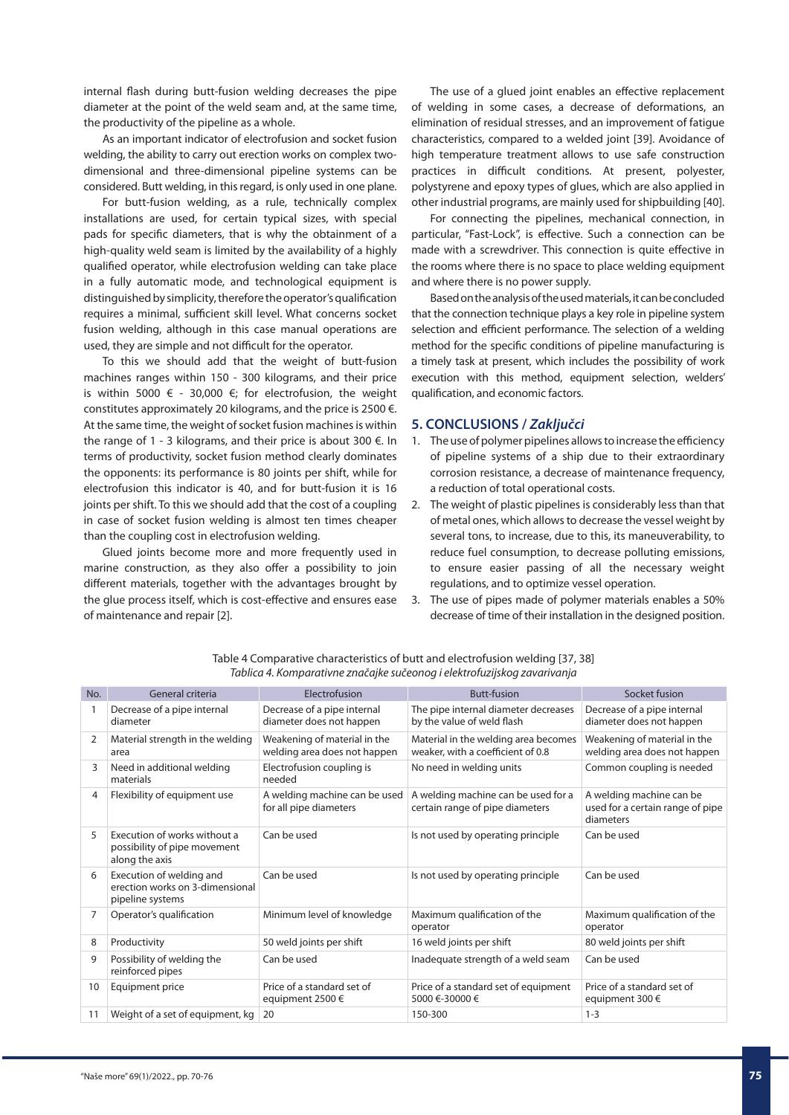internal flash during butt-fusion welding decreases the pipe diameter at the point of the weld seam and, at the same time, the productivity of the pipeline as a whole.

As an important indicator of electrofusion and socket fusion welding, the ability to carry out erection works on complex twodimensional and three-dimensional pipeline systems can be considered. Butt welding, in this regard, is only used in one plane.

For butt-fusion welding, as a rule, technically complex installations are used, for certain typical sizes, with special pads for specific diameters, that is why the obtainment of a high-quality weld seam is limited by the availability of a highly qualified operator, while electrofusion welding can take place in a fully automatic mode, and technological equipment is distinguished by simplicity, therefore the operator's qualification requires a minimal, sufficient skill level. What concerns socket fusion welding, although in this case manual operations are used, they are simple and not difficult for the operator.

To this we should add that the weight of butt-fusion machines ranges within 150 - 300 kilograms, and their price is within 5000  $\epsilon$  - 30,000  $\epsilon$ ; for electrofusion, the weight constitutes approximately 20 kilograms, and the price is 2500 €. At the same time, the weight of socket fusion machines is within the range of 1 - 3 kilograms, and their price is about 300 €. In terms of productivity, socket fusion method clearly dominates the opponents: its performance is 80 joints per shift, while for electrofusion this indicator is 40, and for butt-fusion it is 16 joints per shift. To this we should add that the cost of a coupling in case of socket fusion welding is almost ten times cheaper than the coupling cost in electrofusion welding.

Glued joints become more and more frequently used in marine construction, as they also offer a possibility to join different materials, together with the advantages brought by the glue process itself, which is cost-effective and ensures ease of maintenance and repair [2].

The use of a glued joint enables an effective replacement of welding in some cases, a decrease of deformations, an elimination of residual stresses, and an improvement of fatigue characteristics, compared to a welded joint [39]. Avoidance of high temperature treatment allows to use safe construction practices in difficult conditions. At present, polyester, polystyrene and epoxy types of glues, which are also applied in other industrial programs, are mainly used for shipbuilding [40].

For connecting the pipelines, mechanical connection, in particular, "Fast-Lock", is effective. Such a connection can be made with a screwdriver. This connection is quite effective in the rooms where there is no space to place welding equipment and where there is no power supply.

Based on the analysis of the used materials, it can be concluded that the connection technique plays a key role in pipeline system selection and efficient performance. The selection of a welding method for the specific conditions of pipeline manufacturing is a timely task at present, which includes the possibility of work execution with this method, equipment selection, welders' qualification, and economic factors.

#### **5. CONCLUSIONS /** *Zaključci*

- 1. The use of polymer pipelines allows to increase the efficiency of pipeline systems of a ship due to their extraordinary corrosion resistance, a decrease of maintenance frequency, a reduction of total operational costs.
- 2. The weight of plastic pipelines is considerably less than that of metal ones, which allows to decrease the vessel weight by several tons, to increase, due to this, its maneuverability, to reduce fuel consumption, to decrease polluting emissions, to ensure easier passing of all the necessary weight regulations, and to optimize vessel operation.
- 3. The use of pipes made of polymer materials enables a 50% decrease of time of their installation in the designed position.

| No.            | General criteria                                                                | Electrofusion                                                | <b>Butt-fusion</b>                                                        | Socket fusion                                                             |
|----------------|---------------------------------------------------------------------------------|--------------------------------------------------------------|---------------------------------------------------------------------------|---------------------------------------------------------------------------|
|                | Decrease of a pipe internal<br>diameter                                         | Decrease of a pipe internal<br>diameter does not happen      | The pipe internal diameter decreases<br>by the value of weld flash        | Decrease of a pipe internal<br>diameter does not happen                   |
| $\overline{2}$ | Material strength in the welding<br>area                                        | Weakening of material in the<br>welding area does not happen | Material in the welding area becomes<br>weaker, with a coefficient of 0.8 | Weakening of material in the<br>welding area does not happen              |
| 3              | Need in additional welding<br>materials                                         | Electrofusion coupling is<br>needed                          | No need in welding units                                                  | Common coupling is needed                                                 |
| 4              | Flexibility of equipment use                                                    | A welding machine can be used<br>for all pipe diameters      | A welding machine can be used for a<br>certain range of pipe diameters    | A welding machine can be<br>used for a certain range of pipe<br>diameters |
| 5              | Execution of works without a<br>possibility of pipe movement<br>along the axis  | Can be used                                                  | Is not used by operating principle                                        | Can be used                                                               |
| 6              | Execution of welding and<br>erection works on 3-dimensional<br>pipeline systems | Can be used                                                  | Is not used by operating principle                                        | Can be used                                                               |
| $\overline{7}$ | Operator's qualification                                                        | Minimum level of knowledge                                   | Maximum qualification of the<br>operator                                  | Maximum qualification of the<br>operator                                  |
| 8              | Productivity                                                                    | 50 weld joints per shift                                     | 16 weld joints per shift                                                  | 80 weld joints per shift                                                  |
| 9              | Possibility of welding the<br>reinforced pipes                                  | Can be used                                                  | Inadequate strength of a weld seam                                        | Can be used                                                               |
| 10             | Equipment price                                                                 | Price of a standard set of<br>equipment 2500 €               | Price of a standard set of equipment<br>5000 €-30000 €                    | Price of a standard set of<br>equipment 300 €                             |
| 11             | Weight of a set of equipment, kg                                                | 20                                                           | 150-300                                                                   | $1 - 3$                                                                   |
|                |                                                                                 |                                                              |                                                                           |                                                                           |

Table 4 Comparative characteristics of butt and electrofusion welding [37, 38] Tablica 4. Komparativne značajke sučeonog i elektrofuzijskog zavarivanja